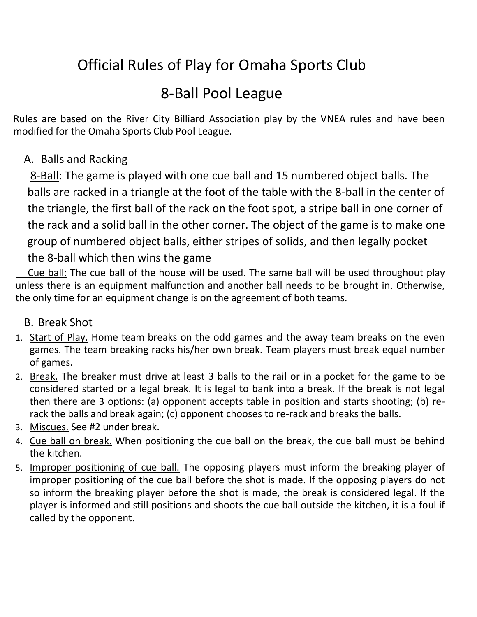# Official Rules of Play for Omaha Sports Club

# 8-Ball Pool League

Rules are based on the River City Billiard Association play by the VNEA rules and have been modified for the Omaha Sports Club Pool League.

# A. Balls and Racking

8-Ball: The game is played with one cue ball and 15 numbered object balls. The balls are racked in a triangle at the foot of the table with the 8-ball in the center of the triangle, the first ball of the rack on the foot spot, a stripe ball in one corner of the rack and a solid ball in the other corner. The object of the game is to make one group of numbered object balls, either stripes of solids, and then legally pocket the 8-ball which then wins the game

 Cue ball: The cue ball of the house will be used. The same ball will be used throughout play unless there is an equipment malfunction and another ball needs to be brought in. Otherwise, the only time for an equipment change is on the agreement of both teams.

## B. Break Shot

- 1. Start of Play. Home team breaks on the odd games and the away team breaks on the even games. The team breaking racks his/her own break. Team players must break equal number of games.
- 2. Break. The breaker must drive at least 3 balls to the rail or in a pocket for the game to be considered started or a legal break. It is legal to bank into a break. If the break is not legal then there are 3 options: (a) opponent accepts table in position and starts shooting; (b) rerack the balls and break again; (c) opponent chooses to re-rack and breaks the balls.
- 3. Miscues. See #2 under break.
- 4. Cue ball on break. When positioning the cue ball on the break, the cue ball must be behind the kitchen.
- 5. Improper positioning of cue ball. The opposing players must inform the breaking player of improper positioning of the cue ball before the shot is made. If the opposing players do not so inform the breaking player before the shot is made, the break is considered legal. If the player is informed and still positions and shoots the cue ball outside the kitchen, it is a foul if called by the opponent.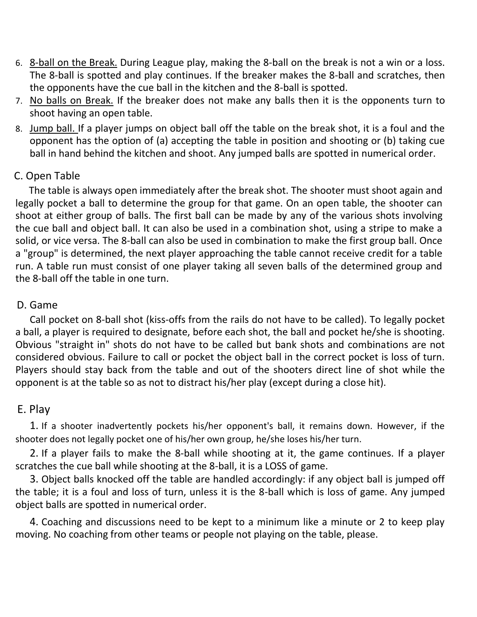- 6. 8-ball on the Break. During League play, making the 8-ball on the break is not a win or a loss. The 8-ball is spotted and play continues. If the breaker makes the 8-ball and scratches, then the opponents have the cue ball in the kitchen and the 8-ball is spotted.
- 7. No balls on Break. If the breaker does not make any balls then it is the opponents turn to shoot having an open table.
- 8. Jump ball. If a player jumps on object ball off the table on the break shot, it is a foul and the opponent has the option of (a) accepting the table in position and shooting or (b) taking cue ball in hand behind the kitchen and shoot. Any jumped balls are spotted in numerical order.

#### C. Open Table

The table is always open immediately after the break shot. The shooter must shoot again and legally pocket a ball to determine the group for that game. On an open table, the shooter can shoot at either group of balls. The first ball can be made by any of the various shots involving the cue ball and object ball. It can also be used in a combination shot, using a stripe to make a solid, or vice versa. The 8-ball can also be used in combination to make the first group ball. Once a "group" is determined, the next player approaching the table cannot receive credit for a table run. A table run must consist of one player taking all seven balls of the determined group and the 8-ball off the table in one turn.

#### D. Game

Call pocket on 8-ball shot (kiss-offs from the rails do not have to be called). To legally pocket a ball, a player is required to designate, before each shot, the ball and pocket he/she is shooting. Obvious "straight in" shots do not have to be called but bank shots and combinations are not considered obvious. Failure to call or pocket the object ball in the correct pocket is loss of turn. Players should stay back from the table and out of the shooters direct line of shot while the opponent is at the table so as not to distract his/her play (except during a close hit).

#### E. Play

1. If a shooter inadvertently pockets his/her opponent's ball, it remains down. However, if the shooter does not legally pocket one of his/her own group, he/she loses his/her turn.

2. If a player fails to make the 8-ball while shooting at it, the game continues. If a player scratches the cue ball while shooting at the 8-ball, it is a LOSS of game.

3. Object balls knocked off the table are handled accordingly: if any object ball is jumped off the table; it is a foul and loss of turn, unless it is the 8-ball which is loss of game. Any jumped object balls are spotted in numerical order.

4. Coaching and discussions need to be kept to a minimum like a minute or 2 to keep play moving. No coaching from other teams or people not playing on the table, please.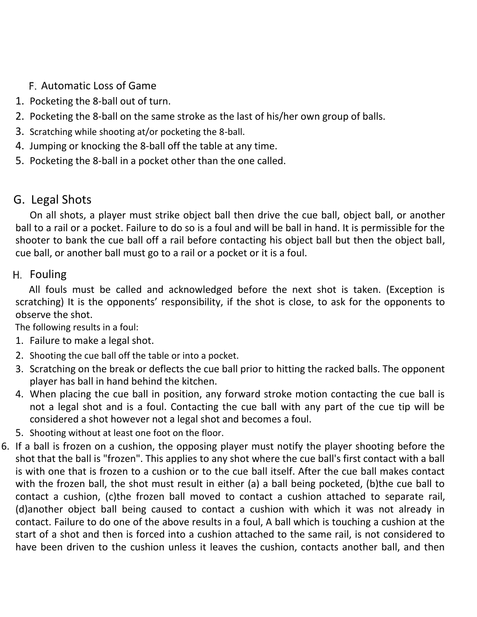- Automatic Loss of Game
- 1. Pocketing the 8-ball out of turn.
- 2. Pocketing the 8-ball on the same stroke as the last of his/her own group of balls.
- 3. Scratching while shooting at/or pocketing the 8-ball.
- 4. Jumping or knocking the 8-ball off the table at any time.
- 5. Pocketing the 8-ball in a pocket other than the one called.

# G. Legal Shots

On all shots, a player must strike object ball then drive the cue ball, object ball, or another ball to a rail or a pocket. Failure to do so is a foul and will be ball in hand. It is permissible for the shooter to bank the cue ball off a rail before contacting his object ball but then the object ball, cue ball, or another ball must go to a rail or a pocket or it is a foul.

### H. Fouling

All fouls must be called and acknowledged before the next shot is taken. (Exception is scratching) It is the opponents' responsibility, if the shot is close, to ask for the opponents to observe the shot.

The following results in a foul:

- 1. Failure to make a legal shot.
- 2. Shooting the cue ball off the table or into a pocket.
- 3. Scratching on the break or deflects the cue ball prior to hitting the racked balls. The opponent player has ball in hand behind the kitchen.
- 4. When placing the cue ball in position, any forward stroke motion contacting the cue ball is not a legal shot and is a foul. Contacting the cue ball with any part of the cue tip will be considered a shot however not a legal shot and becomes a foul.
- 5. Shooting without at least one foot on the floor.
- 6. If a ball is frozen on a cushion, the opposing player must notify the player shooting before the shot that the ball is "frozen". This applies to any shot where the cue ball's first contact with a ball is with one that is frozen to a cushion or to the cue ball itself. After the cue ball makes contact with the frozen ball, the shot must result in either (a) a ball being pocketed, (b)the cue ball to contact a cushion, (c)the frozen ball moved to contact a cushion attached to separate rail, (d)another object ball being caused to contact a cushion with which it was not already in contact. Failure to do one of the above results in a foul, A ball which is touching a cushion at the start of a shot and then is forced into a cushion attached to the same rail, is not considered to have been driven to the cushion unless it leaves the cushion, contacts another ball, and then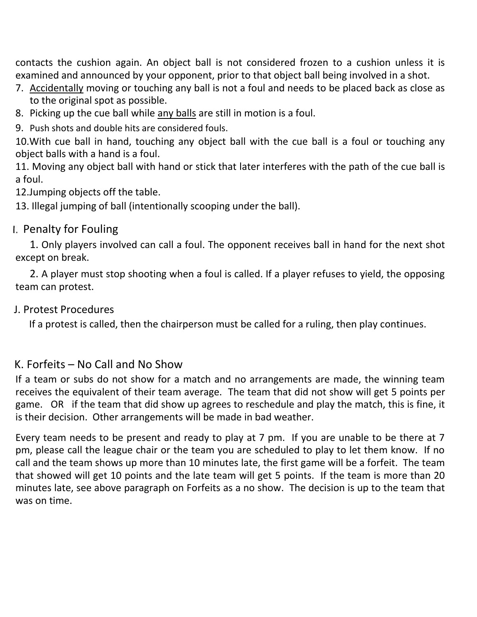contacts the cushion again. An object ball is not considered frozen to a cushion unless it is examined and announced by your opponent, prior to that object ball being involved in a shot.

- 7. Accidentally moving or touching any ball is not a foul and needs to be placed back as close as to the original spot as possible.
- 8. Picking up the cue ball while any balls are still in motion is a foul.
- 9. Push shots and double hits are considered fouls.

10.With cue ball in hand, touching any object ball with the cue ball is a foul or touching any object balls with a hand is a foul.

11. Moving any object ball with hand or stick that later interferes with the path of the cue ball is a foul.

12.Jumping objects off the table.

13. Illegal jumping of ball (intentionally scooping under the ball).

## **I. Penalty for Fouling**

1. Only players involved can call a foul. The opponent receives ball in hand for the next shot except on break.

2. A player must stop shooting when a foul is called. If a player refuses to yield, the opposing team can protest.

### J. Protest Procedures

If a protest is called, then the chairperson must be called for a ruling, then play continues.

## K. Forfeits – No Call and No Show

If a team or subs do not show for a match and no arrangements are made, the winning team receives the equivalent of their team average. The team that did not show will get 5 points per game. OR if the team that did show up agrees to reschedule and play the match, this is fine, it is their decision. Other arrangements will be made in bad weather.

Every team needs to be present and ready to play at 7 pm. If you are unable to be there at 7 pm, please call the league chair or the team you are scheduled to play to let them know. If no call and the team shows up more than 10 minutes late, the first game will be a forfeit. The team that showed will get 10 points and the late team will get 5 points. If the team is more than 20 minutes late, see above paragraph on Forfeits as a no show. The decision is up to the team that was on time.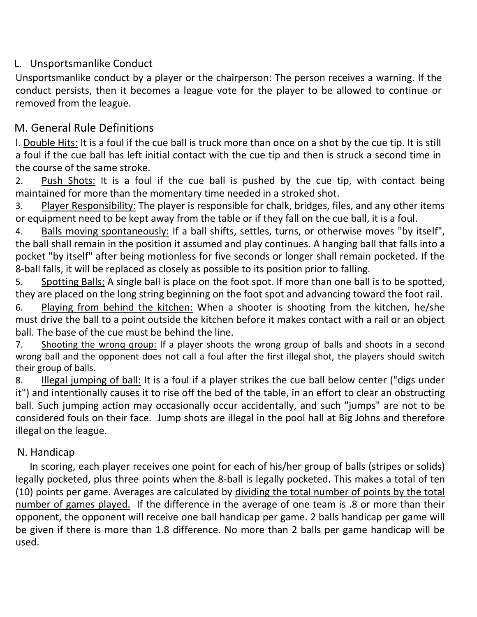### L. Unsportsmanlike Conduct

Unsportsmanlike conduct by a player or the chairperson: The person receives a warning. If the conduct persists, then it becomes a league vote for the player to be allowed to continue or removed from the league.

### M. General Rule Definitions

l. Double Hits: It is a foul if the cue ball is truck more than once on a shot by the cue tip. It is still a foul if the cue ball has left initial contact with the cue tip and then is struck a second time in the course of the same stroke.

2. Push Shots: It is a foul if the cue ball is pushed by the cue tip, with contact being maintained for more than the momentary time needed in a stroked shot.

3. Player Responsibility: The player is responsible for chalk, bridges, files, and any other items or equipment need to be kept away from the table or if they fall on the cue ball, it is a foul.

4. Balls moving spontaneously: If a ball shifts, settles, turns, or otherwise moves "by itself", the ball shall remain in the position it assumed and play continues. A hanging ball that falls into a pocket "by itself" after being motionless for five seconds or longer shall remain pocketed. If the 8-ball falls, it will be replaced as closely as possible to its position prior to falling.

5. Spotting Balls; A single ball is place on the foot spot. If more than one ball is to be spotted, they are placed on the long string beginning on the foot spot and advancing toward the foot rail.

6. Playing from behind the kitchen: When a shooter is shooting from the kitchen, he/she must drive the ball to a point outside the kitchen before it makes contact with a rail or an object ball. The base of the cue must be behind the line.

7. Shooting the wronq qroup: If a player shoots the wrong group of balls and shoots in a second wrong ball and the opponent does not call a foul after the first illegal shot, the players should switch their group of balls.

8. Illegal jumping of ball: It is a foul if a player strikes the cue ball below center ("digs under it") and intentionally causes it to rise off the bed of the table, in an effort to clear an obstructing ball. Such jumping action may occasionally occur accidentally, and such "jumps" are not to be considered fouls on their face. Jump shots are illegal in the pool hall at Big Johns and therefore illegal on the league.

#### N. Handicap

In scoring, each player receives one point for each of his/her group of balls (stripes or solids) legally pocketed, plus three points when the 8-ball is legally pocketed. This makes a total of ten (10) points per game. Averages are calculated by dividing the total number of points by the total number of games played. If the difference in the average of one team is .8 or more than their opponent, the opponent will receive one ball handicap per game. 2 balls handicap per game will be given if there is more than 1.8 difference. No more than 2 balls per game handicap will be used.